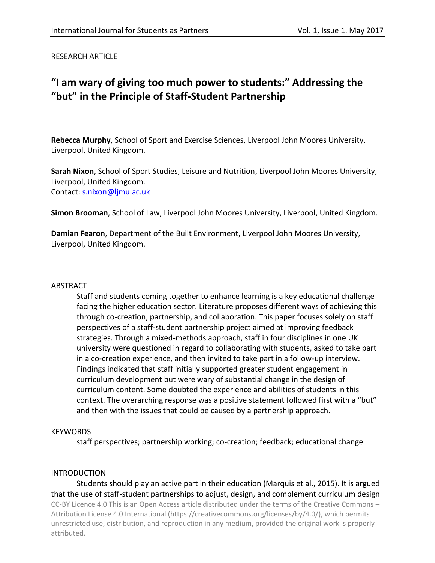RESEARCH ARTICLE

# **"I am wary of giving too much power to students:" Addressing the "but" in the Principle of Staff-Student Partnership**

**Rebecca Murphy**, School of Sport and Exercise Sciences, Liverpool John Moores University, Liverpool, United Kingdom.

**Sarah Nixon**, School of Sport Studies, Leisure and Nutrition, Liverpool John Moores University, Liverpool, United Kingdom. Contact: [s.nixon@ljmu.ac.uk](mailto:s.nixon@ljmu.ac.uk)

**Simon Brooman**, School of Law, Liverpool John Moores University, Liverpool, United Kingdom.

**Damian Fearon**, Department of the Built Environment, Liverpool John Moores University, Liverpool, United Kingdom.

# ABSTRACT

Staff and students coming together to enhance learning is a key educational challenge facing the higher education sector. Literature proposes different ways of achieving this through co-creation, partnership, and collaboration. This paper focuses solely on staff perspectives of a staff-student partnership project aimed at improving feedback strategies. Through a mixed-methods approach, staff in four disciplines in one UK university were questioned in regard to collaborating with students, asked to take part in a co-creation experience, and then invited to take part in a follow-up interview. Findings indicated that staff initially supported greater student engagement in curriculum development but were wary of substantial change in the design of curriculum content. Some doubted the experience and abilities of students in this context. The overarching response was a positive statement followed first with a "but" and then with the issues that could be caused by a partnership approach.

# KEYWORDS

staff perspectives; partnership working; co-creation; feedback; educational change

# INTRODUCTION

CC-BY Licence 4.0 This is an Open Access article distributed under the terms of the Creative Commons – Attribution License 4.0 International [\(https://creativecommons.org/licenses/by/4.0/\)](https://creativecommons.org/licenses/by/4.0/), which permits unrestricted use, distribution, and reproduction in any medium, provided the original work is properly attributed. Students should play an active part in their education (Marquis et al., 2015). It is argued that the use of staff-student partnerships to adjust, design, and complement curriculum design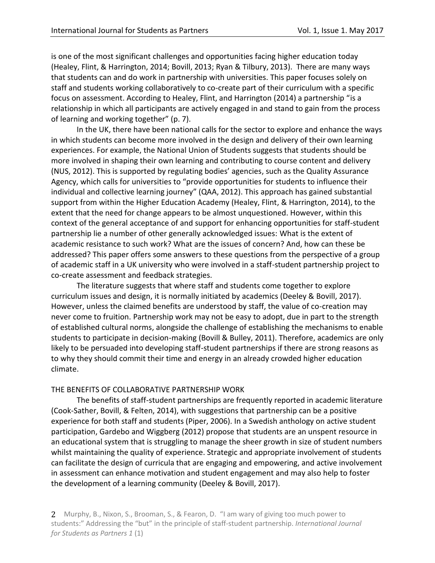is one of the most significant challenges and opportunities facing higher education today (Healey, Flint, & Harrington, 2014; Bovill, 2013; Ryan & Tilbury, 2013). There are many ways that students can and do work in partnership with universities. This paper focuses solely on staff and students working collaboratively to co-create part of their curriculum with a specific focus on assessment. According to Healey, Flint, and Harrington (2014) a partnership "is a relationship in which all participants are actively engaged in and stand to gain from the process of learning and working together" (p. 7).

In the UK, there have been national calls for the sector to explore and enhance the ways in which students can become more involved in the design and delivery of their own learning experiences. For example, the National Union of Students suggests that students should be more involved in shaping their own learning and contributing to course content and delivery (NUS, 2012). This is supported by regulating bodies' agencies, such as the Quality Assurance Agency, which calls for universities to "provide opportunities for students to influence their individual and collective learning journey" (QAA, 2012). This approach has gained substantial support from within the Higher Education Academy (Healey, Flint, & Harrington, 2014), to the extent that the need for change appears to be almost unquestioned. However, within this context of the general acceptance of and support for enhancing opportunities for staff-student partnership lie a number of other generally acknowledged issues: What is the extent of academic resistance to such work? What are the issues of concern? And, how can these be addressed? This paper offers some answers to these questions from the perspective of a group of academic staff in a UK university who were involved in a staff-student partnership project to co-create assessment and feedback strategies.

The literature suggests that where staff and students come together to explore curriculum issues and design, it is normally initiated by academics (Deeley & Bovill, 2017). However, unless the claimed benefits are understood by staff, the value of co-creation may never come to fruition. Partnership work may not be easy to adopt, due in part to the strength of established cultural norms, alongside the challenge of establishing the mechanisms to enable students to participate in decision-making (Bovill & Bulley, 2011). Therefore, academics are only likely to be persuaded into developing staff-student partnerships if there are strong reasons as to why they should commit their time and energy in an already crowded higher education climate.

# THE BENEFITS OF COLLABORATIVE PARTNERSHIP WORK

The benefits of staff-student partnerships are frequently reported in academic literature (Cook-Sather, Bovill, & Felten, 2014), with suggestions that partnership can be a positive experience for both staff and students (Piper, 2006). In a Swedish anthology on active student participation, Gardebo and Wiggberg (2012) propose that students are an unspent resource in an educational system that is struggling to manage the sheer growth in size of student numbers whilst maintaining the quality of experience. Strategic and appropriate involvement of students can facilitate the design of curricula that are engaging and empowering, and active involvement in assessment can enhance motivation and student engagement and may also help to foster the development of a learning community (Deeley & Bovill, 2017).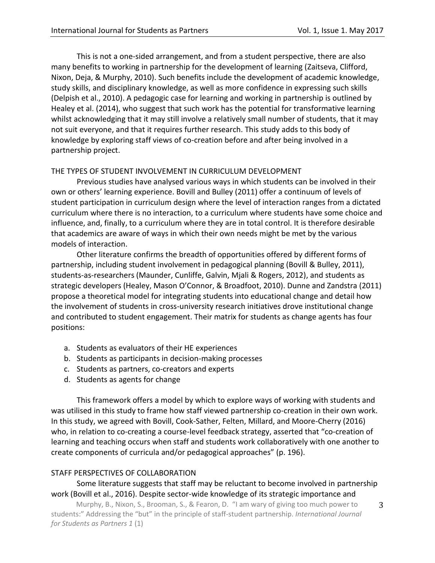3

This is not a one-sided arrangement, and from a student perspective, there are also many benefits to working in partnership for the development of learning (Zaitseva, Clifford, Nixon, Deja, & Murphy, 2010). Such benefits include the development of academic knowledge, study skills, and disciplinary knowledge, as well as more confidence in expressing such skills (Delpish et al., 2010). A pedagogic case for learning and working in partnership is outlined by Healey et al. (2014), who suggest that such work has the potential for transformative learning whilst acknowledging that it may still involve a relatively small number of students, that it may not suit everyone, and that it requires further research. This study adds to this body of knowledge by exploring staff views of co-creation before and after being involved in a partnership project.

#### THE TYPES OF STUDENT INVOLVEMENT IN CURRICULUM DEVELOPMENT

Previous studies have analysed various ways in which students can be involved in their own or others' learning experience. Bovill and Bulley (2011) offer a continuum of levels of student participation in curriculum design where the level of interaction ranges from a dictated curriculum where there is no interaction, to a curriculum where students have some choice and influence, and, finally, to a curriculum where they are in total control. It is therefore desirable that academics are aware of ways in which their own needs might be met by the various models of interaction.

Other literature confirms the breadth of opportunities offered by different forms of partnership, including student involvement in pedagogical planning (Bovill & Bulley, 2011), students-as-researchers (Maunder, Cunliffe, Galvin, Mjali & Rogers, 2012), and students as strategic developers (Healey, Mason O'Connor, & Broadfoot, 2010). Dunne and Zandstra (2011) propose a theoretical model for integrating students into educational change and detail how the involvement of students in cross-university research initiatives drove institutional change and contributed to student engagement. Their matrix for students as change agents has four positions:

- a. Students as evaluators of their HE experiences
- b. Students as participants in decision-making processes
- c. Students as partners, co-creators and experts
- d. Students as agents for change

This framework offers a model by which to explore ways of working with students and was utilised in this study to frame how staff viewed partnership co-creation in their own work. In this study, we agreed with Bovill, Cook-Sather, Felten, Millard, and Moore-Cherry (2016) who, in relation to co-creating a course-level feedback strategy, asserted that "co-creation of learning and teaching occurs when staff and students work collaboratively with one another to create components of curricula and/or pedagogical approaches" (p. 196).

# STAFF PERSPECTIVES OF COLLABORATION

Some literature suggests that staff may be reluctant to become involved in partnership work (Bovill et al., 2016). Despite sector-wide knowledge of its strategic importance and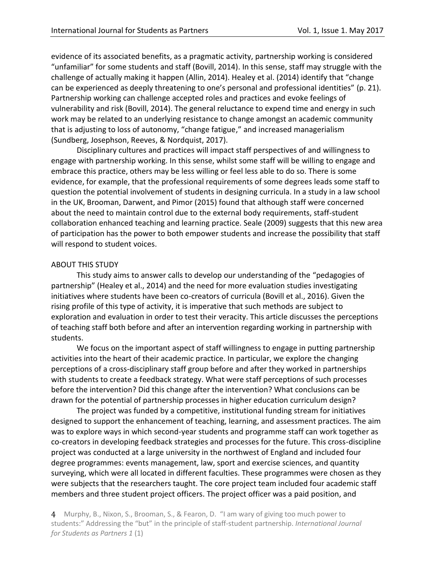evidence of its associated benefits, as a pragmatic activity, partnership working is considered "unfamiliar" for some students and staff (Bovill, 2014). In this sense, staff may struggle with the challenge of actually making it happen (Allin, 2014). Healey et al. (2014) identify that "change can be experienced as deeply threatening to one's personal and professional identities" (p. 21). Partnership working can challenge accepted roles and practices and evoke feelings of vulnerability and risk (Bovill, 2014). The general reluctance to expend time and energy in such work may be related to an underlying resistance to change amongst an academic community that is adjusting to loss of autonomy, "change fatigue," and increased managerialism (Sundberg, Josephson, Reeves, & Nordquist, 2017).

Disciplinary cultures and practices will impact staff perspectives of and willingness to engage with partnership working. In this sense, whilst some staff will be willing to engage and embrace this practice, others may be less willing or feel less able to do so. There is some evidence, for example, that the professional requirements of some degrees leads some staff to question the potential involvement of students in designing curricula. In a study in a law school in the UK, Brooman, Darwent, and Pimor (2015) found that although staff were concerned about the need to maintain control due to the external body requirements, staff-student collaboration enhanced teaching and learning practice. Seale (2009) suggests that this new area of participation has the power to both empower students and increase the possibility that staff will respond to student voices.

#### ABOUT THIS STUDY

This study aims to answer calls to develop our understanding of the "pedagogies of partnership" (Healey et al., 2014) and the need for more evaluation studies investigating initiatives where students have been co-creators of curricula (Bovill et al., 2016). Given the rising profile of this type of activity, it is imperative that such methods are subject to exploration and evaluation in order to test their veracity. This article discusses the perceptions of teaching staff both before and after an intervention regarding working in partnership with students.

We focus on the important aspect of staff willingness to engage in putting partnership activities into the heart of their academic practice. In particular, we explore the changing perceptions of a cross-disciplinary staff group before and after they worked in partnerships with students to create a feedback strategy. What were staff perceptions of such processes before the intervention? Did this change after the intervention? What conclusions can be drawn for the potential of partnership processes in higher education curriculum design?

The project was funded by a competitive, institutional funding stream for initiatives designed to support the enhancement of teaching, learning, and assessment practices. The aim was to explore ways in which second-year students and programme staff can work together as co-creators in developing feedback strategies and processes for the future. This cross-discipline project was conducted at a large university in the northwest of England and included four degree programmes: events management, law, sport and exercise sciences, and quantity surveying, which were all located in different faculties. These programmes were chosen as they were subjects that the researchers taught. The core project team included four academic staff members and three student project officers. The project officer was a paid position, and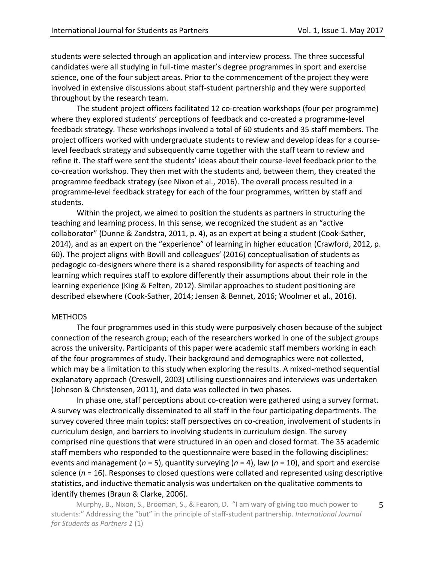5

students were selected through an application and interview process. The three successful candidates were all studying in full-time master's degree programmes in sport and exercise science, one of the four subject areas. Prior to the commencement of the project they were involved in extensive discussions about staff-student partnership and they were supported throughout by the research team.

The student project officers facilitated 12 co-creation workshops (four per programme) where they explored students' perceptions of feedback and co-created a programme-level feedback strategy. These workshops involved a total of 60 students and 35 staff members. The project officers worked with undergraduate students to review and develop ideas for a courselevel feedback strategy and subsequently came together with the staff team to review and refine it. The staff were sent the students' ideas about their course-level feedback prior to the co-creation workshop. They then met with the students and, between them, they created the programme feedback strategy (see Nixon et al., 2016). The overall process resulted in a programme-level feedback strategy for each of the four programmes, written by staff and students.

Within the project, we aimed to position the students as partners in structuring the teaching and learning process. In this sense, we recognized the student as an "active collaborator" (Dunne & Zandstra, 2011, p. 4), as an expert at being a student (Cook-Sather, 2014), and as an expert on the "experience" of learning in higher education (Crawford, 2012, p. 60). The project aligns with Bovill and colleagues' (2016) conceptualisation of students as pedagogic co-designers where there is a shared responsibility for aspects of teaching and learning which requires staff to explore differently their assumptions about their role in the learning experience (King & Felten, 2012). Similar approaches to student positioning are described elsewhere (Cook-Sather, 2014; Jensen & Bennet, 2016; Woolmer et al., 2016).

#### METHODS

The four programmes used in this study were purposively chosen because of the subject connection of the research group; each of the researchers worked in one of the subject groups across the university. Participants of this paper were academic staff members working in each of the four programmes of study. Their background and demographics were not collected, which may be a limitation to this study when exploring the results. A mixed-method sequential explanatory approach (Creswell, 2003) utilising questionnaires and interviews was undertaken (Johnson & Christensen, 2011), and data was collected in two phases.

In phase one, staff perceptions about co-creation were gathered using a survey format. A survey was electronically disseminated to all staff in the four participating departments. The survey covered three main topics: staff perspectives on co-creation, involvement of students in curriculum design, and barriers to involving students in curriculum design. The survey comprised nine questions that were structured in an open and closed format. The 35 academic staff members who responded to the questionnaire were based in the following disciplines: events and management (*n* = 5), quantity surveying (*n* = 4), law (*n* = 10), and sport and exercise science (*n* = 16). Responses to closed questions were collated and represented using descriptive statistics, and inductive thematic analysis was undertaken on the qualitative comments to identify themes (Braun & Clarke, 2006).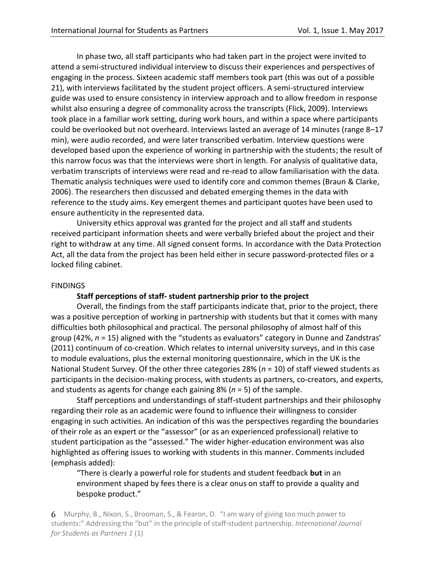In phase two, all staff participants who had taken part in the project were invited to attend a semi-structured individual interview to discuss their experiences and perspectives of engaging in the process. Sixteen academic staff members took part (this was out of a possible 21), with interviews facilitated by the student project officers. A semi-structured interview guide was used to ensure consistency in interview approach and to allow freedom in response whilst also ensuring a degree of commonality across the transcripts (Flick, 2009). Interviews took place in a familiar work setting, during work hours, and within a space where participants could be overlooked but not overheard. Interviews lasted an average of 14 minutes (range 8–17 min), were audio recorded, and were later transcribed verbatim. Interview questions were developed based upon the experience of working in partnership with the students; the result of this narrow focus was that the interviews were short in length. For analysis of qualitative data, verbatim transcripts of interviews were read and re-read to allow familiarisation with the data. Thematic analysis techniques were used to identify core and common themes (Braun & Clarke, 2006). The researchers then discussed and debated emerging themes in the data with reference to the study aims. Key emergent themes and participant quotes have been used to ensure authenticity in the represented data.

University ethics approval was granted for the project and all staff and students received participant information sheets and were verbally briefed about the project and their right to withdraw at any time. All signed consent forms. In accordance with the Data Protection Act, all the data from the project has been held either in secure password-protected files or a locked filing cabinet.

# **FINDINGS**

# **Staff perceptions of staff- student partnership prior to the project**

Overall, the findings from the staff participants indicate that, prior to the project, there was a positive perception of working in partnership with students but that it comes with many difficulties both philosophical and practical. The personal philosophy of almost half of this group (42%, *n* = 15) aligned with the "students as evaluators" category in Dunne and Zandstras' (2011) continuum of co-creation. Which relates to internal university surveys, and in this case to module evaluations, plus the external monitoring questionnaire, which in the UK is the National Student Survey. Of the other three categories 28% (*n* = 10) of staff viewed students as participants in the decision-making process, with students as partners, co-creators, and experts, and students as agents for change each gaining 8% (*n* = 5) of the sample.

Staff perceptions and understandings of staff-student partnerships and their philosophy regarding their role as an academic were found to influence their willingness to consider engaging in such activities. An indication of this was the perspectives regarding the boundaries of their role as an expert or the "assessor" (or as an experienced professional) relative to student participation as the "assessed." The wider higher-education environment was also highlighted as offering issues to working with students in this manner. Comments included (emphasis added):

"There is clearly a powerful role for students and student feedback **but** in an environment shaped by fees there is a clear onus on staff to provide a quality and bespoke product."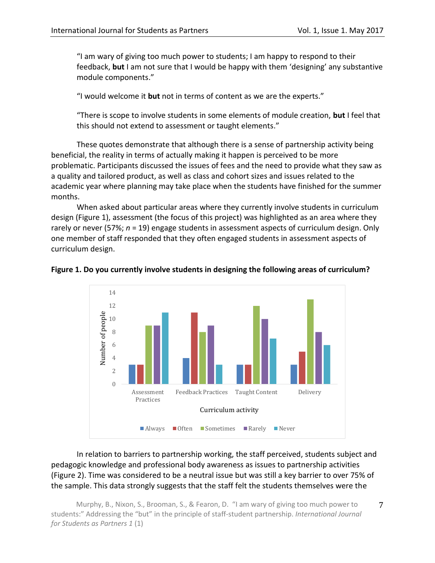"I am wary of giving too much power to students; I am happy to respond to their feedback, **but** I am not sure that I would be happy with them 'designing' any substantive module components."

"I would welcome it **but** not in terms of content as we are the experts."

"There is scope to involve students in some elements of module creation, **but** I feel that this should not extend to assessment or taught elements."

These quotes demonstrate that although there is a sense of partnership activity being beneficial, the reality in terms of actually making it happen is perceived to be more problematic. Participants discussed the issues of fees and the need to provide what they saw as a quality and tailored product, as well as class and cohort sizes and issues related to the academic year where planning may take place when the students have finished for the summer months.

When asked about particular areas where they currently involve students in curriculum design (Figure 1), assessment (the focus of this project) was highlighted as an area where they rarely or never (57%; *n* = 19) engage students in assessment aspects of curriculum design. Only one member of staff responded that they often engaged students in assessment aspects of curriculum design.



#### **Figure 1. Do you currently involve students in designing the following areas of curriculum?**

In relation to barriers to partnership working, the staff perceived, students subject and pedagogic knowledge and professional body awareness as issues to partnership activities (Figure 2). Time was considered to be a neutral issue but was still a key barrier to over 75% of the sample. This data strongly suggests that the staff felt the students themselves were the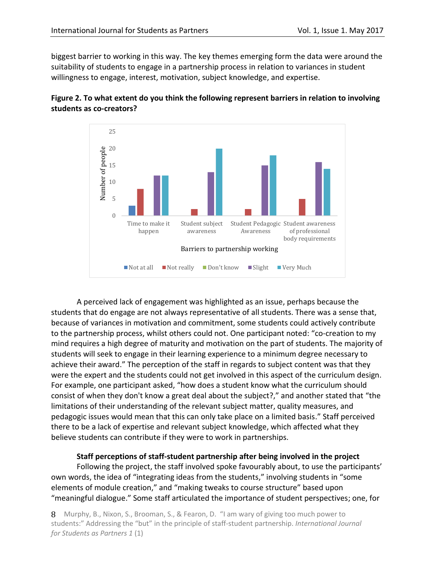biggest barrier to working in this way. The key themes emerging form the data were around the suitability of students to engage in a partnership process in relation to variances in student willingness to engage, interest, motivation, subject knowledge, and expertise.





A perceived lack of engagement was highlighted as an issue, perhaps because the students that do engage are not always representative of all students. There was a sense that, because of variances in motivation and commitment, some students could actively contribute to the partnership process, whilst others could not. One participant noted: "co-creation to my mind requires a high degree of maturity and motivation on the part of students. The majority of students will seek to engage in their learning experience to a minimum degree necessary to achieve their award." The perception of the staff in regards to subject content was that they were the expert and the students could not get involved in this aspect of the curriculum design. For example, one participant asked, "how does a student know what the curriculum should consist of when they don't know a great deal about the subject?," and another stated that "the limitations of their understanding of the relevant subject matter, quality measures, and pedagogic issues would mean that this can only take place on a limited basis." Staff perceived there to be a lack of expertise and relevant subject knowledge, which affected what they believe students can contribute if they were to work in partnerships.

**Staff perceptions of staff-student partnership after being involved in the project**

Following the project, the staff involved spoke favourably about, to use the participants' own words, the idea of "integrating ideas from the students," involving students in "some elements of module creation," and "making tweaks to course structure" based upon "meaningful dialogue." Some staff articulated the importance of student perspectives; one, for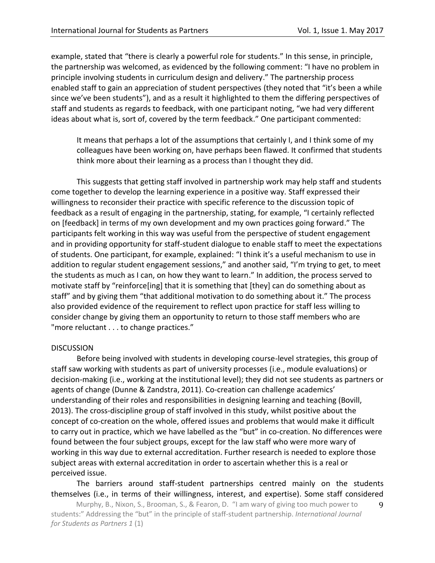example, stated that "there is clearly a powerful role for students." In this sense, in principle, the partnership was welcomed, as evidenced by the following comment: "I have no problem in principle involving students in curriculum design and delivery." The partnership process enabled staff to gain an appreciation of student perspectives (they noted that "it's been a while since we've been students"), and as a result it highlighted to them the differing perspectives of staff and students as regards to feedback, with one participant noting, "we had very different ideas about what is, sort of, covered by the term feedback." One participant commented:

It means that perhaps a lot of the assumptions that certainly I, and I think some of my colleagues have been working on, have perhaps been flawed. It confirmed that students think more about their learning as a process than I thought they did.

This suggests that getting staff involved in partnership work may help staff and students come together to develop the learning experience in a positive way. Staff expressed their willingness to reconsider their practice with specific reference to the discussion topic of feedback as a result of engaging in the partnership, stating, for example, "I certainly reflected on [feedback] in terms of my own development and my own practices going forward." The participants felt working in this way was useful from the perspective of student engagement and in providing opportunity for staff-student dialogue to enable staff to meet the expectations of students. One participant, for example, explained: "I think it's a useful mechanism to use in addition to regular student engagement sessions," and another said, "I'm trying to get, to meet the students as much as I can, on how they want to learn." In addition, the process served to motivate staff by "reinforce[ing] that it is something that [they] can do something about as staff" and by giving them "that additional motivation to do something about it." The process also provided evidence of the requirement to reflect upon practice for staff less willing to consider change by giving them an opportunity to return to those staff members who are "more reluctant . . . to change practices."

#### DISCUSSION

Before being involved with students in developing course-level strategies, this group of staff saw working with students as part of university processes (i.e., module evaluations) or decision-making (i.e., working at the institutional level); they did not see students as partners or agents of change (Dunne & Zandstra, 2011). Co-creation can challenge academics' understanding of their roles and responsibilities in designing learning and teaching (Bovill, 2013). The cross-discipline group of staff involved in this study, whilst positive about the concept of co-creation on the whole, offered issues and problems that would make it difficult to carry out in practice, which we have labelled as the "but" in co-creation. No differences were found between the four subject groups, except for the law staff who were more wary of working in this way due to external accreditation. Further research is needed to explore those subject areas with external accreditation in order to ascertain whether this is a real or perceived issue.

The barriers around staff-student partnerships centred mainly on the students themselves (i.e., in terms of their willingness, interest, and expertise). Some staff considered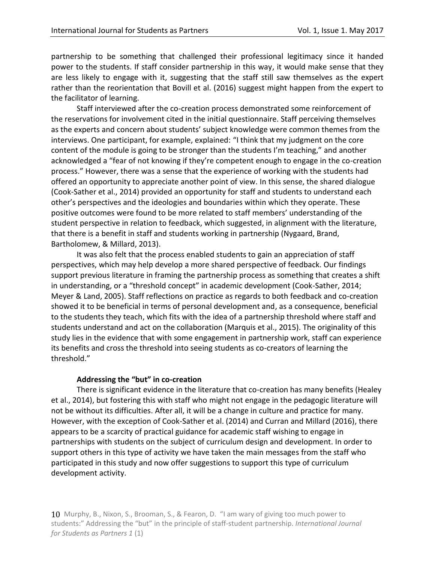partnership to be something that challenged their professional legitimacy since it handed power to the students. If staff consider partnership in this way, it would make sense that they are less likely to engage with it, suggesting that the staff still saw themselves as the expert rather than the reorientation that Bovill et al. (2016) suggest might happen from the expert to the facilitator of learning.

Staff interviewed after the co-creation process demonstrated some reinforcement of the reservations for involvement cited in the initial questionnaire. Staff perceiving themselves as the experts and concern about students' subject knowledge were common themes from the interviews. One participant, for example, explained: "I think that my judgment on the core content of the module is going to be stronger than the students I'm teaching," and another acknowledged a "fear of not knowing if they're competent enough to engage in the co-creation process." However, there was a sense that the experience of working with the students had offered an opportunity to appreciate another point of view. In this sense, the shared dialogue (Cook-Sather et al., 2014) provided an opportunity for staff and students to understand each other's perspectives and the ideologies and boundaries within which they operate. These positive outcomes were found to be more related to staff members' understanding of the student perspective in relation to feedback, which suggested, in alignment with the literature, that there is a benefit in staff and students working in partnership (Nygaard, Brand, Bartholomew, & Millard, 2013).

It was also felt that the process enabled students to gain an appreciation of staff perspectives, which may help develop a more shared perspective of feedback. Our findings support previous literature in framing the partnership process as something that creates a shift in understanding, or a "threshold concept" in academic development (Cook-Sather, 2014; Meyer & Land, 2005). Staff reflections on practice as regards to both feedback and co-creation showed it to be beneficial in terms of personal development and, as a consequence, beneficial to the students they teach, which fits with the idea of a partnership threshold where staff and students understand and act on the collaboration (Marquis et al., 2015). The originality of this study lies in the evidence that with some engagement in partnership work, staff can experience its benefits and cross the threshold into seeing students as co-creators of learning the threshold."

# **Addressing the "but" in co-creation**

There is significant evidence in the literature that co-creation has many benefits (Healey et al., 2014), but fostering this with staff who might not engage in the pedagogic literature will not be without its difficulties. After all, it will be a change in culture and practice for many. However, with the exception of Cook-Sather et al. (2014) and Curran and Millard (2016), there appears to be a scarcity of practical guidance for academic staff wishing to engage in partnerships with students on the subject of curriculum design and development. In order to support others in this type of activity we have taken the main messages from the staff who participated in this study and now offer suggestions to support this type of curriculum development activity.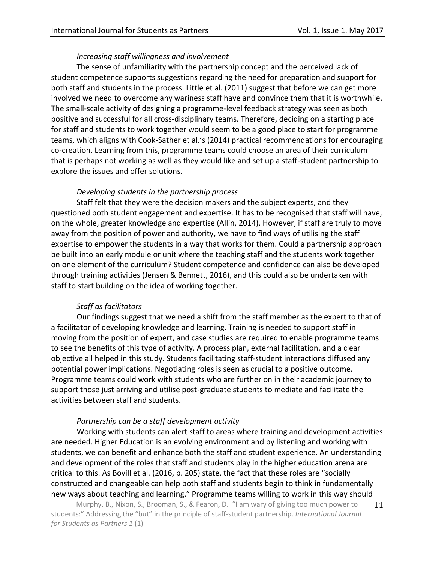# *Increasing staff willingness and involvement*

The sense of unfamiliarity with the partnership concept and the perceived lack of student competence supports suggestions regarding the need for preparation and support for both staff and students in the process. Little et al. (2011) suggest that before we can get more involved we need to overcome any wariness staff have and convince them that it is worthwhile. The small-scale activity of designing a programme-level feedback strategy was seen as both positive and successful for all cross-disciplinary teams. Therefore, deciding on a starting place for staff and students to work together would seem to be a good place to start for programme teams, which aligns with Cook-Sather et al.'s (2014) practical recommendations for encouraging co-creation. Learning from this, programme teams could choose an area of their curriculum that is perhaps not working as well as they would like and set up a staff-student partnership to explore the issues and offer solutions.

# *Developing students in the partnership process*

Staff felt that they were the decision makers and the subject experts, and they questioned both student engagement and expertise. It has to be recognised that staff will have, on the whole, greater knowledge and expertise (Allin, 2014). However, if staff are truly to move away from the position of power and authority, we have to find ways of utilising the staff expertise to empower the students in a way that works for them. Could a partnership approach be built into an early module or unit where the teaching staff and the students work together on one element of the curriculum? Student competence and confidence can also be developed through training activities (Jensen & Bennett, 2016), and this could also be undertaken with staff to start building on the idea of working together.

# *Staff as facilitators*

Our findings suggest that we need a shift from the staff member as the expert to that of a facilitator of developing knowledge and learning. Training is needed to support staff in moving from the position of expert, and case studies are required to enable programme teams to see the benefits of this type of activity. A process plan, external facilitation, and a clear objective all helped in this study. Students facilitating staff-student interactions diffused any potential power implications. Negotiating roles is seen as crucial to a positive outcome. Programme teams could work with students who are further on in their academic journey to support those just arriving and utilise post-graduate students to mediate and facilitate the activities between staff and students.

# *Partnership can be a staff development activity*

Working with students can alert staff to areas where training and development activities are needed. Higher Education is an evolving environment and by listening and working with students, we can benefit and enhance both the staff and student experience. An understanding and development of the roles that staff and students play in the higher education arena are critical to this. As Bovill et al. (2016, p. 205) state, the fact that these roles are "socially constructed and changeable can help both staff and students begin to think in fundamentally new ways about teaching and learning." Programme teams willing to work in this way should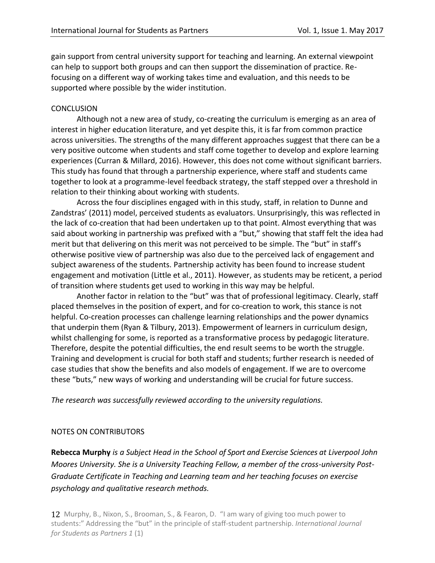gain support from central university support for teaching and learning. An external viewpoint can help to support both groups and can then support the dissemination of practice. Refocusing on a different way of working takes time and evaluation, and this needs to be supported where possible by the wider institution.

#### **CONCLUSION**

Although not a new area of study, co-creating the curriculum is emerging as an area of interest in higher education literature, and yet despite this, it is far from common practice across universities. The strengths of the many different approaches suggest that there can be a very positive outcome when students and staff come together to develop and explore learning experiences (Curran & Millard, 2016). However, this does not come without significant barriers. This study has found that through a partnership experience, where staff and students came together to look at a programme-level feedback strategy, the staff stepped over a threshold in relation to their thinking about working with students.

Across the four disciplines engaged with in this study, staff, in relation to Dunne and Zandstras' (2011) model, perceived students as evaluators. Unsurprisingly, this was reflected in the lack of co-creation that had been undertaken up to that point. Almost everything that was said about working in partnership was prefixed with a "but," showing that staff felt the idea had merit but that delivering on this merit was not perceived to be simple. The "but" in staff's otherwise positive view of partnership was also due to the perceived lack of engagement and subject awareness of the students. Partnership activity has been found to increase student engagement and motivation (Little et al., 2011). However, as students may be reticent, a period of transition where students get used to working in this way may be helpful.

Another factor in relation to the "but" was that of professional legitimacy. Clearly, staff placed themselves in the position of expert, and for co-creation to work, this stance is not helpful. Co-creation processes can challenge learning relationships and the power dynamics that underpin them (Ryan & Tilbury, 2013). Empowerment of learners in curriculum design, whilst challenging for some, is reported as a transformative process by pedagogic literature. Therefore, despite the potential difficulties, the end result seems to be worth the struggle. Training and development is crucial for both staff and students; further research is needed of case studies that show the benefits and also models of engagement. If we are to overcome these "buts," new ways of working and understanding will be crucial for future success.

*The research was successfully reviewed according to the university regulations.* 

#### NOTES ON CONTRIBUTORS

**Rebecca Murphy** *is a Subject Head in the School of Sport and Exercise Sciences at Liverpool John Moores University. She is a University Teaching Fellow, a member of the cross-university Post-Graduate Certificate in Teaching and Learning team and her teaching focuses on exercise psychology and qualitative research methods.*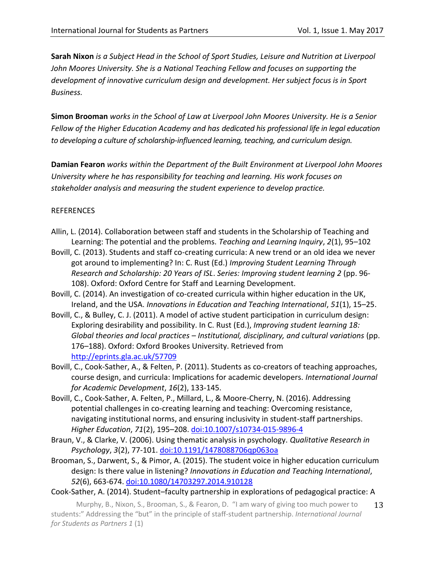**Sarah Nixon** *is a Subject Head in the School of Sport Studies, Leisure and Nutrition at Liverpool John Moores University. She is a National Teaching Fellow and focuses on supporting the development of innovative curriculum design and development. Her subject focus is in Sport Business.* 

**Simon Brooman** *works in the School of Law at Liverpool John Moores University. He is a Senior Fellow of the Higher Education Academy and has dedicated his professional life in legal education to developing a culture of scholarship-influenced learning, teaching, and curriculum design.*

**Damian Fearon** *works within the Department of the Built Environment at Liverpool John Moores University where he has responsibility for teaching and learning. His work focuses on stakeholder analysis and measuring the student experience to develop practice.* 

# **REFERENCES**

- Allin, L. (2014). Collaboration between staff and students in the Scholarship of Teaching and Learning: The potential and the problems. *Teaching and Learning Inquiry*, *2*(1), 95–102
- Bovill, C. (2013). Students and staff co-creating curricula: A new trend or an old idea we never got around to implementing? In: C. Rust (Ed.) *Improving Student Learning Through Research and Scholarship: 20 Years of ISL*. *Series: Improving student learning 2* (pp. 96- 108). Oxford: Oxford Centre for Staff and Learning Development.
- Bovill, C. (2014). An investigation of co-created curricula within higher education in the UK, Ireland, and the USA. *Innovations in Education and Teaching International*, *51*(1), 15–25.
- Bovill, C., & Bulley, C. J. (2011). A model of active student participation in curriculum design: Exploring desirability and possibility. In C. Rust (Ed.), *Improving student learning 18: Global theories and local practices – Institutional, disciplinary, and cultural variations* (pp. 176–188). Oxford: Oxford Brookes University. Retrieved from <http://eprints.gla.ac.uk/57709>
- Bovill, C., Cook-Sather, A., & Felten, P. (2011). Students as co-creators of teaching approaches, course design, and curricula: Implications for academic developers. *International Journal for Academic Development*, *16*(2), 133-145.
- Bovill, C., Cook-Sather, A. Felten, P., Millard, L., & Moore-Cherry, N. (2016). Addressing potential challenges in co-creating learning and teaching: Overcoming resistance, navigating institutional norms, and ensuring inclusivity in student-staff partnerships. *Higher Education*, *71*(2), 195–208.<doi:10.1007/s10734-015-9896-4>
- Braun, V., & Clarke, V. (2006). Using thematic analysis in psychology. *Qualitative Research in Psychology*, *3*(2), 77-101.<doi:10.1191/1478088706qp063oa>
- Brooman, S., Darwent, S., & Pimor, A. (2015). The student voice in higher education curriculum design: Is there value in listening? *Innovations in Education and Teaching International*, *52*(6), 663-674.<doi:10.1080/14703297.2014.910128>

Cook-Sather, A. (2014). Student–faculty partnership in explorations of pedagogical practice: A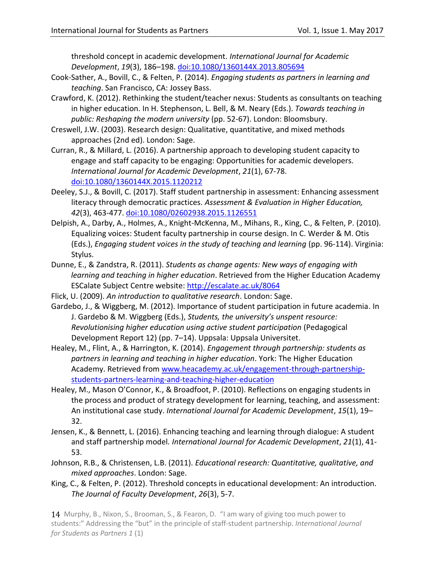threshold concept in academic development. *International Journal for Academic Development*, *19*(3), 186–198.<doi:10.1080/1360144X.2013.805694>

- Cook-Sather, A., Bovill, C., & Felten, P. (2014). *Engaging students as partners in learning and teaching*. San Francisco, CA: Jossey Bass.
- Crawford, K. (2012). Rethinking the student/teacher nexus: Students as consultants on teaching in higher education. In H. Stephenson, L. Bell, & M. Neary (Eds.). *Towards teaching in public: Reshaping the modern university* (pp. 52-67). London: Bloomsbury.
- Creswell, J.W. (2003). Research design: Qualitative, quantitative, and mixed methods approaches (2nd ed). London: Sage.
- Curran, R., & Millard, L. (2016). A partnership approach to developing student capacity to engage and staff capacity to be engaging: Opportunities for academic developers. *International Journal for Academic Development*, *21*(1), 67-78. <doi:10.1080/1360144X.2015.1120212>
- Deeley, S.J., & Bovill, C. (2017). Staff student partnership in assessment: Enhancing assessment literacy through democratic practices. *Assessment & Evaluation in Higher Education, 42*(3), 463-477.<doi:10.1080/02602938.2015.1126551>
- Delpish, A., Darby, A., Holmes, A., Knight-McKenna, M., Mihans, R., King, C., & Felten, P. (2010). Equalizing voices: Student faculty partnership in course design. In C. Werder & M. Otis (Eds.), *Engaging student voices in the study of teaching and learning* (pp. 96-114). Virginia: Stylus.
- Dunne, E., & Zandstra, R. (2011). *Students as change agents: New ways of engaging with learning and teaching in higher education*. Retrieved from the Higher Education Academy ESCalate Subject Centre website:<http://escalate.ac.uk/8064>
- Flick, U. (2009). *An introduction to qualitative research*. London: Sage.
- Gardebo, J., & Wiggberg, M. (2012). Importance of student participation in future academia. In J. Gardebo & M. Wiggberg (Eds.), *Students, the university's unspent resource: Revolutionising higher education using active student participation* (Pedagogical Development Report 12) (pp. 7–14). Uppsala: Uppsala Universitet.
- Healey, M., Flint, A., & Harrington, K. (2014). *Engagement through partnership: students as partners in learning and teaching in higher education*. York: The Higher Education Academy. Retrieved from [www.heacademy.ac.uk/engagement-through-partnership](http://www.heacademy.ac.uk/engagement-through-partnership-students-partners-learning-and-teaching-higher-education)[students-partners-learning-and-teaching-higher-education](http://www.heacademy.ac.uk/engagement-through-partnership-students-partners-learning-and-teaching-higher-education)
- Healey, M., Mason O'Connor, K., & Broadfoot, P. (2010). Reflections on engaging students in the process and product of strategy development for learning, teaching, and assessment: An institutional case study. *International Journal for Academic Development*, *15*(1), 19– 32.
- Jensen, K., & Bennett, L. (2016). Enhancing teaching and learning through dialogue: A student and staff partnership model*. International Journal for Academic Development*, *21*(1), 41- 53.
- Johnson, R.B., & Christensen, L.B. (2011). *Educational research: Quantitative, qualitative, and mixed approaches*. London: Sage.
- King, C., & Felten, P. (2012). Threshold concepts in educational development: An introduction. *The Journal of Faculty Development*, *26*(3), 5-7.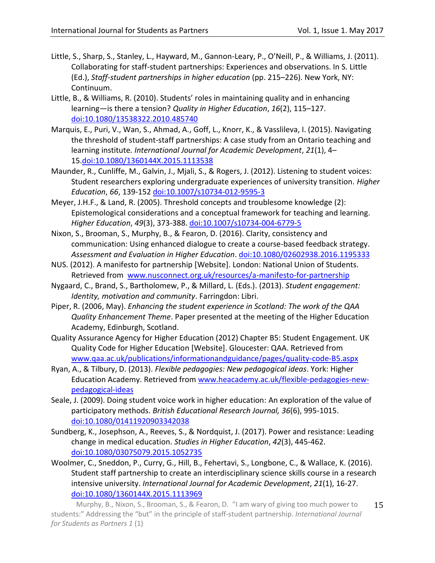- Little, S., Sharp, S., Stanley, L., Hayward, M., Gannon-Leary, P., O'Neill, P., & Williams, J. (2011). Collaborating for staff-student partnerships: Experiences and observations. In S. Little (Ed.), *Staff-student partnerships in higher education* (pp. 215–226). New York, NY: Continuum.
- Little, B., & Williams, R. (2010). Students' roles in maintaining quality and in enhancing learning—is there a tension? *Quality in Higher Education*, *16*(2), 115–127. <doi:10.1080/13538322.2010.485740>
- Marquis, E., Puri, V., Wan, S., Ahmad, A., Goff, L., Knorr, K., & Vasslileva, I. (2015). Navigating the threshold of student-staff partnerships: A case study from an Ontario teaching and learning institute*. International Journal for Academic Development*, *21*(1), 4– 15[.doi:10.1080/1360144X.2015.1113538](https://excasowa.ljmu.ac.uk/owa/redir.aspx?SURL=3ZuqbkmDcSsJdV1nty7CZmIjgJGsSQd284CwyeD0RNh8lri0tKzTCGgAdAB0AHAAOgAvAC8AZABvAGkALgBvAHIAZwAvADEAMAAuADEAMAA4ADAALwAxADMANgAwADEANAA0AFgALgAyADAAMQA1AC4AMQAxADEAMwA1ADMAOAA.&URL=http%3a%2f%2fdoi.org%2f10.1080%2f1360144X.2015.1113538)
- Maunder, R., Cunliffe, M., Galvin, J., Mjali, S., & Rogers, J. (2012). Listening to student voices: Student researchers exploring undergraduate experiences of university transition. *Higher Education*, *66*, 139-152<doi:10.1007/s10734-012-9595-3>
- Meyer, J.H.F., & Land, R. (2005). Threshold concepts and troublesome knowledge (2): Epistemological considerations and a conceptual framework for teaching and learning. *Higher Education*, *49*(3), 373-388.<doi:10.1007/s10734-004-6779-5>
- Nixon, S., Brooman, S., Murphy, B., & Fearon, D. (2016). Clarity, consistency and communication: Using enhanced dialogue to create a course-based feedback strategy. *Assessment and Evaluation in Higher Education*.<doi:10.1080/02602938.2016.1195333>
- NUS. (2012). A manifesto for partnership [Website]. London: National Union of Students. Retrieved from [www.nusconnect.org.uk/resources/a-manifesto-for-partnership](http://www.nusconnect.org.uk/resources/a-manifesto-for-partnership)
- Nygaard, C., Brand, S., Bartholomew, P., & Millard, L. (Eds.). (2013). *Student engagement: Identity, motivation and community*. Farringdon: Libri.
- Piper, R. (2006, May). *Enhancing the student experience in Scotland: The work of the QAA Quality Enhancement Theme*. Paper presented at the meeting of the Higher Education Academy, Edinburgh, Scotland.
- Quality Assurance Agency for Higher Education (2012) Chapter B5: Student Engagement. UK Quality Code for Higher Education [Website]. Gloucester: QAA. Retrieved from [www.qaa.ac.uk/publications/informationandguidance/pages/quality-code-B5.aspx](http://www.qaa.ac.uk/publications/informationandguidance/pages/quality-code-B5.aspx)
- Ryan, A., & Tilbury, D. (2013). *Flexible pedagogies: New pedagogical ideas*. York: Higher Education Academy. Retrieved from [www.heacademy.ac.uk/flexible-pedagogies-new](http://www.heacademy.ac.uk/flexible-pedagogies-new-pedagogical-ideas)[pedagogical-ideas](http://www.heacademy.ac.uk/flexible-pedagogies-new-pedagogical-ideas)
- Seale, J. (2009). Doing student voice work in higher education: An exploration of the value of participatory methods. *British Educational Research Journal, 36*(6), 995-1015. <doi:10.1080/01411920903342038>
- Sundberg, K., Josephson, A., Reeves, S., & Nordquist, J. (2017). Power and resistance: Leading change in medical education. *Studies in Higher Education*, *42*(3), 445-462. <doi:10.1080/03075079.2015.1052735>
- Woolmer, C., Sneddon, P., Curry, G., Hill, B., Fehertavi, S., Longbone, C., & Wallace, K. (2016). Student staff partnership to create an interdisciplinary science skills course in a research intensive university. *International Journal for Academic Development*, *21*(1), 16-27. <doi:10.1080/1360144X.2015.1113969>